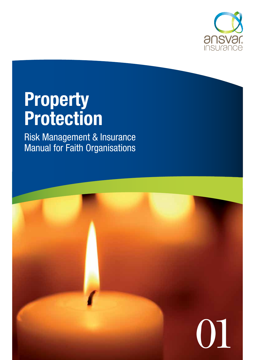

# **Property Protection**

Risk Management & Insurance Manual for Faith Organisations

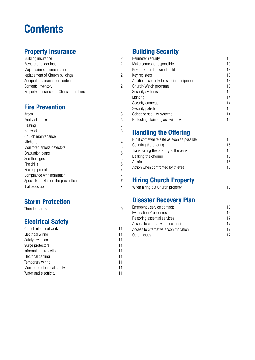## **Contents**

## **Property Insurance**

| Building insurance                    |
|---------------------------------------|
| Beware of under insuring              |
| Major claim settlements and           |
| replacement of Church buildings       |
| Adequate insurance for contents       |
| Contents inventory                    |
| Property insurance for Church members |
|                                       |

### **Fire Prevention**

| Arson                                | 3 |
|--------------------------------------|---|
| <b>Faulty electrics</b>              | 3 |
| Heating                              | 3 |
| Hot work                             | 3 |
| Church maintenance                   | 3 |
| Kitchens                             | 4 |
| Monitored smoke detectors            | 5 |
| Evacuation plans                     | 5 |
| See the signs                        | 5 |
| Fire drills                          | 5 |
| Fire equipment                       |   |
| Compliance with legislation          |   |
| Specialist advice on fire prevention |   |
| It all adds up                       |   |

### **Storm Protection**

**Thunderstorms** 

### **Electrical Safety**

| Church electrical work       | 11 |
|------------------------------|----|
| Electrical wiring            | 11 |
| Safety switches              | 11 |
| Surge protectors             | 11 |
| Information protection       | 11 |
| Electrical cabling           | 11 |
| Temporary wiring             | 11 |
| Monitoring electrical safety | 11 |
| Water and electricity        | 11 |

## **Building Security**

2

2

2

2

2

2

3

3

5

9

| Perimeter security                        | 13 |
|-------------------------------------------|----|
| Make someone responsible                  | 13 |
| Keys to Church-owned buildings            | 13 |
| Key registers                             | 13 |
| Additional security for special equipment | 13 |
| Church-Watch programs                     | 13 |
| Security systems                          | 14 |
| Lighting                                  | 14 |
| Security cameras                          | 14 |
| Security patrols                          | 14 |
| Selecting security systems                | 14 |
| Protecting stained glass windows          | 14 |

## **Handling the Offering**

| Put it somewhere safe as soon as possible | 15 |
|-------------------------------------------|----|
| Counting the offering                     | 15 |
| Transporting the offering to the bank     | 15 |
| Banking the offering                      | 15 |
| A safe                                    | 15 |
| Action when confronted by thieves         | 15 |

## **Hiring Church Property**

| When hiring out Church property | 16 |
|---------------------------------|----|
|---------------------------------|----|

## **Disaster Recovery Plan**

| Emergency service contacts              | 16 |
|-----------------------------------------|----|
| Evacuation Procedures                   | 16 |
| Restoring essential services            | 17 |
| Access to alternative office facilities | 17 |
| Access to alternative accommodation     | 17 |
| Other issues                            | 17 |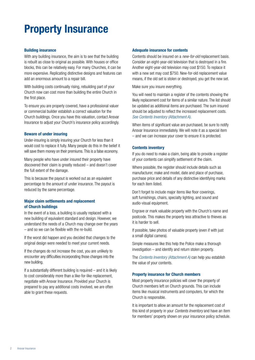## **Property Insurance**

#### **Building insurance**

With any building insurance, the aim is to see that the building is rebuilt as close to original as possible. With houses or office blocks, this can be relatively easy. For many Churches, it can be more expensive. Replicating distinctive designs and features can add an enormous amount to a repair bill.

With building costs continually rising, rebuilding part of your Church now can cost more than building the entire Church in the first place.

To ensure you are properly covered, have a professional valuer or commercial builder establish a correct valuation for the Church buildings. Once you have this valuation, contact Ansvar Insurance to adjust your Church's insurance policy accordingly.

#### **Beware of under insuring**

Under-insuring is simply insuring your Church for less than it would cost to replace it fully. Many people do this in the belief it will save them money on their premiums. This is a false economy.

Many people who have under insured their property have discovered their claim is greatly reduced – and doesn't cover the full extent of the damage.

This is because the payout is worked out as an equivalent percentage to the amount of under insurance. The payout is reduced by the same percentage.

#### **Major claim settlements and replacement of Church buildings**

In the event of a loss, a building is usually replaced with a new building of equivalent standard and design. However, we understand the needs of a Church may change over the years – and so we can be flexible with the re-build.

If the worst did happen and you decided that changes to the original design were needed to meet your current needs.

If the changes do not increase the cost, you are unlikely to encounter any difficulties incorporating those changes into the new building.

If a substantially different building is required  $-$  and it is likely to cost considerably more than a like-for-like replacement, negotiate with Ansvar Insurance. Provided your Church is prepared to pay any additional costs involved, we are often able to grant these requests.

#### **Adequate insurance for contents**

Contents should be insured on a *new-for-old* replacement basis. Consider an eight-year-old television that is destroyed in a fire. Another eight-year-old television may cost \$150. To replace it with a new set may cost \$750. New-for-old replacement value means, if the old set is stolen or destroyed, you get the new set.

Make sure you insure everything.

You will need to maintain a register of the contents showing the likely replacement cost for items of a similar nature. The list should be updated as additional items are purchased. The sum insured should be adjusted to reflect the increased replacement costs. *See Contents Inventory (Attachment A).*

When items of significant value are purchased, be sure to notify Ansvar Insurance immediately. We will note it as a special item – and we can increase your cover to ensure it is protected.

#### **Contents inventory**

If you do need to make a claim, being able to provide a register of your contents can simplify settlement of the claim.

Where possible, the register should include details such as manufacturer, make and model, date and place of purchase, purchase price and details of any distinctive identifying marks for each item listed.

Don't forget to include major items like floor coverings, soft furnishings, chairs, specialty lighting, and sound and audio-visual equipment.

Engrave or mark valuable property with the Church's name and postcode. This makes the property less attractive to thieves as it is harder to sell.

If possible, take photos of valuable property (even if with just a small digital camera).

Simple measures like this help the Police make a thorough investigation – and identify and return stolen property.

The *Contents Inventory (Attachment A)* can help you establish the value of your contents.

#### **Property insurance for Church members**

Most property insurance policies will cover the property of Church members left on Church grounds. This can include items like musical instruments and computers, for which the Church is responsible.

It is important to allow an amount for the replacement cost of this kind of property in your *Contents Inventory* and have an item for members' property shown on your insurance policy schedule.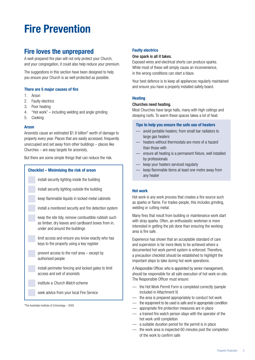## **Fire Prevention**

### **Fire loves the unprepared**

A well-prepared fire plan will not only protect your Church, and your congregation, it could also help reduce your premium.

The suggestions in this section have been designed to help you ensure your Church is as well protected as possible.

#### **There are 5 major causes of fire**

- 1. Arson
- 2. Faulty electrics
- 3. Poor heating
- 4. "Hot work" including welding and angle grinding
- 5. Cooking

#### **Arson**

Arsonists cause an estimated \$1.6 billion\* worth of damage to property every year. Places that are easily accessed, frequently unoccupied and set away from other buildings – places like Churches – are easy targets for arsonists,

But there are some simple things that can reduce the risk.

| <b>Checklist - Minimising the risk of arson</b>                                                                                             |  |  |  |  |  |  |
|---------------------------------------------------------------------------------------------------------------------------------------------|--|--|--|--|--|--|
| install security lighting inside the building                                                                                               |  |  |  |  |  |  |
| install security lighting outside the building                                                                                              |  |  |  |  |  |  |
| keep flammable liquids in locked metal cabinets                                                                                             |  |  |  |  |  |  |
| install a monitored security and fire detection system                                                                                      |  |  |  |  |  |  |
| keep the site tidy, remove combustible rubbish such<br>as timber, dry leaves and cardboard boxes from in,<br>under and around the buildings |  |  |  |  |  |  |
| limit access and ensure you know exactly who has<br>keys to the property using a key register                                               |  |  |  |  |  |  |
| prevent access to the roof area $-$ except by<br>authorised people                                                                          |  |  |  |  |  |  |
| install perimeter fencing and locked gates to limit<br>access and exit of arsonists                                                         |  |  |  |  |  |  |
| institute a <i>Church Watch</i> scheme                                                                                                      |  |  |  |  |  |  |
| seek advice from your local Fire Service                                                                                                    |  |  |  |  |  |  |

\*The Australian Institute of Criminology – 2005

#### **Faulty electrics**

#### One spark is all it takes.

Exposed wires and electrical shorts can produce sparks. While most of these will simply cause an inconvenience, in the wrong conditions can start a blaze.

Your best defence is to keep all appliances regularly maintained and ensure you have a properly installed safety board.

#### **Heating**

#### Churches need heating.

Most Churches have large halls, many with high ceilings and steeping roofs. To warm these spaces takes a lot of heat.

#### **Tips to help you ensure the safe use of heaters**

- avoid portable heaters; from small bar radiators to large gas heaters
- heaters without thermostats are more of a hazard than those with
- ensure all heating is a permanent fixture, well installed by professionals
- keep your heaters serviced regularly
- keep flammable items at least one metre away from any heater

#### **Hot work**

Hot work is any work process that creates a fire source such as sparks or flame. For trades-people, this includes grinding, welding or cutting metal.

Many fires that result from building or maintenance work start with stray sparks. Often, an enthusiastic workman is more interested in getting the job done than ensuring the working area is fire safe.

Experience has shown that an acceptable standard of care and supervision is far more likely to be achieved where a documented hot work permit system is enforced. Therefore, a precaution checklist should be established to highlight the important steps to take during hot work operations.

A Responsible Officer, who is appointed by senior management, should be responsible for all safe execution of hot work on site. The Responsible Officer must ensure:

- the Hot Work Permit Form is completed correctly (sample included in Attachment V)
- the area is prepared appropriately to conduct hot work
- the equipment to be used is safe and in appropriate condition
- appropriate fire protection measures are in place
- a trained fire watch person stays with the operator of the hot work until completion
- a suitable duration period for the permit is in place
- the work area is inspected 60 minutes post the completion of the work to confirm safe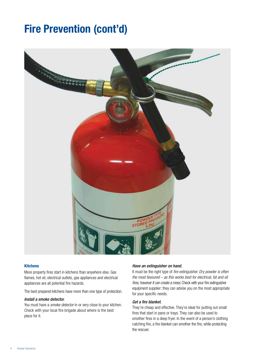## **Fire Prevention (cont'd)**



#### **Kitchens**

More property fires start in kitchens than anywhere else. Gas flames, hot oil, electrical outlets, gas appliances and electrical appliances are all potential fire hazards.

The best prepared kitchens have more than one type of protection.

#### *Install a smoke detector.*

You must have a *smoke detector* in or very close to your kitchen. Check with your local fire brigade about where is the best place for it.

#### *Have an extinguisher on hand.*

It must be the right type of *fire extinguisher. Dry powder is often the most favoured – as this works best for electrical, fat and oil fires, however it can create a mess.* Check with your fire extinguisher equipment supplier: they can advise you on the most appropriate for your specific needs.

#### *Get a fire blanket.*

They're cheap and effective. They're ideal for putting out small fires that start in pans or trays. They can also be used to smother fires in a deep fryer. In the event of a person's clothing catching fire, a fire blanket can smother the fire, while protecting the rescuer.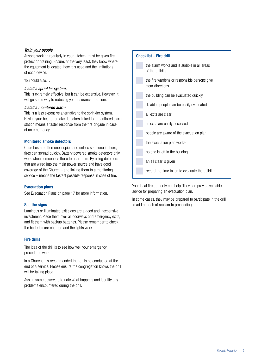#### *Train your people.*

Anyone working regularly in your kitchen, must be given fire protection training. Ensure, at the very least, they know where the equipment is located, how it is used and the limitations of each device.

You could also…

#### *Install a sprinkler system.*

This is extremely effective, but it can be expensive. However, it will go some way to reducing your insurance premium.

#### *Install a monitored alarm.*

This is a less expensive alternative to the sprinkler system. Having your heat or smoke detectors linked to a monitored alarm station means a faster response from the fire brigade in case of an emergency.

#### **Monitored smoke detectors**

Churches are often unoccupied and unless someone is there, fires can spread quickly. Battery powered smoke detectors only work when someone is there to hear them. By using detectors that are wired into the main power source and have good coverage of the Church – and linking them to a monitoring service – means the fastest possible response in case of fire.

#### **Evacuation plans**

See Evacuation Plans on page 17 for more information,

#### **See the signs**

Luminous or illuminated exit signs are a good and inexpensive investment, Place them over all doorways and emergency exits, and fit them with backup batteries. Please remember to check the batteries are charged and the lights work.

#### **Fire drills**

The idea of the drill is to see how well your emergency procedures work.

In a Church, it is recommended that drills be conducted at the end of a service. Please ensure the congregation knows the drill will be taking place.

Assign some observers to note what happens and identify any problems encountered during the drill.



Your local fire authority can help. They can provide valuable advice for preparing an evacuation plan.

In some cases, they may be prepared to participate in the drill to add a touch of realism to proceedings.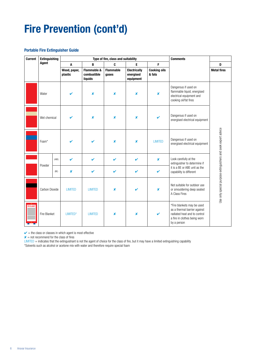## **Fire Prevention (cont'd)**

#### **Portable Fire Extinguisher Guide**

| <b>Current</b>    | <b>Extinguishing</b> |       |                         |                                                  | Type of fire, class and suitability |                                               |                               | <b>Comments</b>                                                                                                                           |                                                               |
|-------------------|----------------------|-------|-------------------------|--------------------------------------------------|-------------------------------------|-----------------------------------------------|-------------------------------|-------------------------------------------------------------------------------------------------------------------------------------------|---------------------------------------------------------------|
|                   | Agent                |       | A                       | $\mathbf{B}$                                     | C                                   | E                                             | F                             |                                                                                                                                           | D                                                             |
|                   |                      |       | Wood, paper,<br>plastic | <b>Flammable &amp;</b><br>combustible<br>liquids | <b>Flammable</b><br>gases           | <b>Electrically</b><br>energised<br>equipment | <b>Cooking oils</b><br>& fats |                                                                                                                                           | <b>Metal fires</b>                                            |
|                   | Water                |       | ✔                       | $\boldsymbol{x}$                                 | ×                                   | $\boldsymbol{\mathsf{x}}$                     | ×                             | Dangerous if used on<br>flammable liquid, energised<br>electrical equipment and<br>cooking oil/fat fires                                  |                                                               |
|                   | Wet chemical         |       |                         | $\boldsymbol{x}$                                 | ×                                   | $\boldsymbol{\mathsf{x}}$                     |                               | Dangerous if used on<br>energised electrical equipment                                                                                    |                                                               |
|                   | Foam*                |       |                         | ✔                                                | X                                   | $\pmb{\times}$                                | <b>LIMITED</b>                | Dangerous if used on<br>energised electrical equipment                                                                                    |                                                               |
|                   |                      | (ABE) | V                       | $\mathbf v$                                      | $\boldsymbol{\nu}$                  | V                                             | $\boldsymbol{\mathsf{x}}$     | Look carefully at the<br>extinguisher to determine if                                                                                     |                                                               |
|                   | Powder               | (BE)  | ×                       | V                                                | V                                   | ✓                                             | V                             | it is a BE or ABE unit as the<br>capability is different                                                                                  |                                                               |
|                   | Carbon Dioxide       |       | <b>LIMITED</b>          | <b>LIMITED</b>                                   | ×                                   | ✔                                             | X                             | Not suitable for outdoor use<br>or smouldering deep seated<br>A Class Fires                                                               | Use only special purpose extinguishers and seek expert advice |
| <b>IRE BLANKE</b> | Fire Blanket         |       | LIMITED*                | <b>LIMITED</b>                                   | ×                                   | $\boldsymbol{\mathsf{x}}$                     | V                             | *Fire blankets may be used<br>as a thermal barrier against<br>radiated heat and to control<br>a fire in clothes being worn<br>by a person |                                                               |

 $\mathbf{v}$  = the class or classes in which agent is most effective

 $x =$  not recommend for the class of fires

LIMITED = indicates that the extinguishant is not the agent of choice for the class of fire, but it may have a limited extinguishing capability

\*Solvents such as alcohol or acetone mix with water and therefore require special foam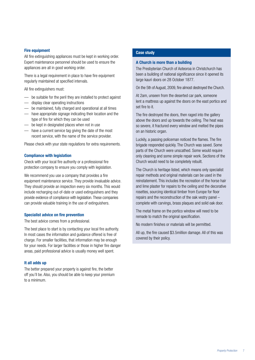#### **Fire equipment**

All fire extinguishing appliances must be kept in working order. Expert maintenance personnel should be used to ensure the appliances are all in good working order.

There is a legal requirement in place to have fire equipment regularly maintained at specified intervals.

All fire extinguishers must:

- be suitable for the peril they are installed to protect against
- display clear operating instructions
- be maintained, fully charged and operational at all times
- have appropriate signage indicating their location and the type of fire for which they can be used
- be kept in designated places when not in use
- have a current service tag giving the date of the most recent service, with the name of the service provider.

Please check with your state regulations for extra requirements.

#### **Compliance with legislation**

Check with your local fire authority or a professional fire protection company to ensure you comply with legislation.

We recommend you use a company that provides a fire equipment maintenance service. They provide invaluable advice. They should provide an inspection every six months. This would include recharging out-of-date or used extinguishers and they provide evidence of compliance with legislation. These companies can provide valuable training in the use of extinguishers.

#### **Specialist advice on fire prevention**

The best advice comes from a professional.

The best place to start is by contacting your local fire authority. In most cases the information and guidance offered is free of charge. For smaller facilities, that information may be enough for your needs. For larger facilities or those in higher fire danger areas, paid professional advice is usually money well spent.

#### **It all adds up**

The better prepared your property is against fire, the better off you'll be. Also, you should be able to keep your premium to a minimum.

#### **Case study**

#### **A Church is more than a building**

The Presbyterian Church of Aoteoroa in Christchurch has been a building of national significance since it opened its large kauri doors on 28 October 1877.

On the 5th of August, 2009, fire almost destroyed the Church.

At 2am, unseen from the deserted car park, someone lent a mattress up against the doors on the east portico and set fire to it.

The fire destroyed the doors, then raged into the gallery above the doors and up towards the ceiling. The heat was so severe, it fractured every window and melted the pipes on an historic organ.

Luckily, a passing policeman noticed the flames. The fire brigade responded quickly. The Church was saved. Some parts of the Church were unscathed. Some would require only cleaning and some simple repair work. Sections of the Church would need to be completely rebuilt.

The Church is heritage listed, which means only specialist repair methods and original materials can be used in the reinstatement. This includes the recreation of the horse hair and lime plaster for repairs to the ceiling and the decorative rosettes, sourcing identical timber from Europe for floor repairs and the reconstruction of the oak vestry panel – complete with carvings, brass plaques and solid oak door.

The metal frame on the portico window will need to be remade to match the original specification.

No modern finishes or materials will be permitted.

All up, the fire caused \$3.5million damage. All of this was covered by their policy.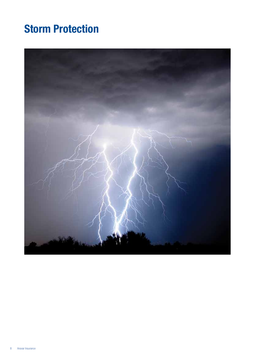## **Storm Protection**

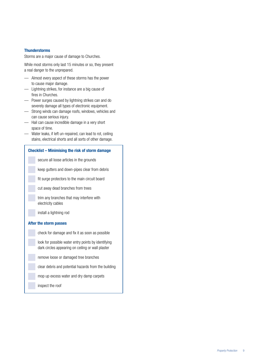#### **Thunderstorms**

Storms are a major cause of damage to Churches.

While most storms only last 15 minutes or so, they present a real danger to the unprepared.

- Almost every aspect of these storms has the power to cause major damage.
- Lightning strikes, for instance are a big cause of fires in Churches.
- Power surges caused by lightning strikes can and do severely damage all types of electronic equipment.
- Strong winds can damage roofs, windows, vehicles and can cause serious injury.
- Hail can cause incredible damage in a very short space of time.
- Water leaks, if left un-repaired, can lead to rot, ceiling stains, electrical shorts and all sorts of other damage.

#### **Checklist – Minimising the risk of storm damage**

secure all loose articles in the grounds

keep gutters and down-pipes clear from debris

fit surge protectors to the main circuit board

cut away dead branches from trees

trim any branches that may interfere with electricity cables

install a lightning rod

#### **After the storm passes**

check for damage and fix it as soon as possible

look for possible water entry points by identifying dark circles appearing on ceiling or wall plaster

remove loose or damaged tree branches

clear debris and potential hazards from the building

mop up excess water and dry damp carpets

inspect the roof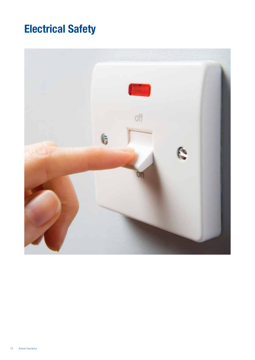## **Electrical Safety**

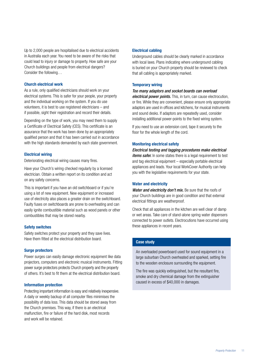Up to 2,000 people are hospitalised due to electrical accidents in Australia each year. You need to be aware of the risks that could lead to injury or damage to property. How safe are your Church buildings and people from electrical dangers? Consider the following…

#### **Church electrical work**

As a rule, only qualified electricians should work on your electrical systems. This is safer for your people, your property and the individual working on the system. If you do use volunteers, it is best to use registered electricians – and if possible, sight their registration and record their details.

Depending on the type of work, you may need them to supply a Certificate of Electrical Safety (CES). This certificate is an assurance that the work has been done by an appropriately qualified person and that it has been carried out in accordance with the high standards demanded by each state government.

#### **Electrical wiring**

Deteriorating electrical wiring causes many fires.

Have your Church's wiring checked regularly by a licensed electrician. Obtain a written report on its condition and act on any safety concerns.

This is important if you have an old switchboard or if you're using a lot of new equipment. New equipment or increased use of electricity also places a greater drain on the switchboard. Faulty fuses on switchboards are prone to overheating and can easily ignite combustible material such as wood panels or other combustibles that may be stored nearby.

#### **Safety switches**

Safety switches protect your property and they save lives. Have them fitted at the electrical distribution board.

#### **Surge protectors**

Power surges can easily damage electronic equipment like data projectors, computers and electronic musical instruments. Fitting power surge protectors protects Church property and the property of others. It's best to fit them at the electrical distribution board.

#### **Information protection**

Protecting important information is easy and relatively inexpensive. A daily or weekly backup of all computer files minimises the possibility of data loss. This data should be stored away from the Church premises. This way, if there is an electrical malfunction, fire or failure of the hard disk, most records and work will be retained.

#### **Electrical cabling**

Underground cables should be clearly marked in accordance with local laws. Plans indicating where underground cabling is buried on your Church property should be reviewed to check that all cabling is appropriately marked.

#### **Temporary wiring**

#### *Too many adaptors and socket boards can overload*

*electrical power points.* This, in turn, can cause electrocution, or fire. While they are convenient, please ensure only appropriate adaptors are used in offices and kitchens, for musical instruments and sound desks. If adaptors are repeatedly used, consider installing additional power-points to the fixed wiring system.

If you need to use an extension cord, tape it securely to the floor for the whole length of the cord.

#### **Monitoring electrical safety**

*Electrical testing and tagging procedures make electrical items safer.* In some states there is a legal requirement to test and tag electrical equipment – especially portable electrical appliances and leads. Your local WorkCover Authority can help you with the legislative requirements for your state.

#### **Water and electricity**

*Water and electricity don't mix.* Be sure that the roofs of your Church buildings are in good condition and that external electrical fittings are weatherproof.

Check that all appliances in the kitchen are well clear of damp or wet areas. Take care of stand-alone spring water dispensers connected to power outlets. Electrocutions have occurred using these appliances in recent years.

#### **Case study**

An overloaded powerboard used for sound equipment in a large suburban Church overheated and sparked, setting fire to the wooden enclosure surrounding the equipment.

The fire was quickly extinguished, but the resultant fire, smoke and dry chemical damage from the extinguisher caused in excess of \$40,000 in damages.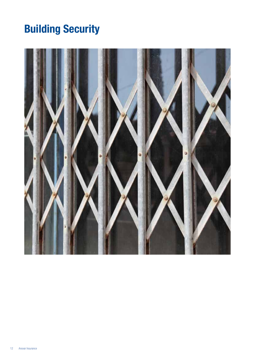## **Building Security**

![](_page_13_Picture_1.jpeg)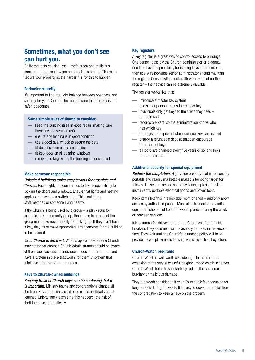### **Sometimes, what you don't see can hurt you.**

Deliberate acts causing loss – theft, arson and malicious damage – often occur when no one else is around. The more secure your property is, the harder it is for this to happen.

#### **Perimeter security**

It's important to find the right balance between openness and security for your Church. The more secure the property is, the safer it becomes.

#### **Some simple rules of thumb to consider:**

- keep the building itself in good repair (making sure there are no 'weak areas')
- ensure any fencing is in good condition
- use a good quality lock to secure the gate
- fit deadlocks on all external doors
- fit key-locks on all opening windows
- remove the keys when the building is unoccupied

#### **Make someone responsible**

*Unlocked buildings make easy targets for arsonists and thieves.* Each night, someone needs to take responsibility for locking the doors and windows. Ensure that lights and heating appliances have been switched off. This could be a staff member, or someone living nearby.

If the Church is being used by a group  $-$  a play group for example, or a community group, the person in charge of the group must take responsibility for locking up. If they don't have a key, they must make appropriate arrangements for the building to be secured.

*Each Church is different.* What is appropriate for one Church may not be for another. Church administrators should be aware of the issues, assess the individual needs of their Church and have a system in place that works for them. A system that minimises the risk of theft or arson.

#### **Keys to Church-owned buildings**

*Keeping track of Church keys can be confusing, but it is important.* Ministry teams and congregations change all the time. Keys are often passed on to others unofficially or not returned. Unfortunately, each time this happens, the risk of theft increases dramatically.

#### **Key registers**

A key register is a great way to control access to buildings. One person, possibly the Church administrator or a deputy, needs to have responsibility for issuing keys and monitoring their use. A responsible senior administrator should maintain the register. Consult with a locksmith when you set up the register – their advice can be extremely valuable.

The register works like this:

- introduce a master key system
- one senior person retains the master key
- individuals only get keys to the areas they need for their work
- records are kept, so the administration knows who has which key
- the register is updated whenever new keys are issued
- charge a refundable deposit that can encourage the return of keys
- all locks are changed every five years or so, and keys are re-allocated.

#### **Additional security for special equipment**

*Reduce the temptation.* High-value property that is reasonably portable and readily marketable makes a tempting target for thieves. These can include sound systems, laptops, musical instruments, portable electrical goods and power tools.

Keep items like this in a lockable room or shed – and only allow access by authorised people. Musical instruments and audio equipment should not be left in worship areas during the week or between services.

It is common for thieves to return to Churches after an initial break-in. They assume it will be as easy to break in the second time. They wait until the Church's insurance policy will have provided new replacements for what was stolen. Then they return.

#### **Church-Watch programs**

Church-Watch is well worth considering. This is a natural extension of the very successful neighbourhood watch schemes. Church-Watch helps to substantially reduce the chance of burglary or malicious damage.

They are worth considering if your Church is left unoccupied for long periods during the week. It is easy to draw up a roster from the congregation to keep an eye on the property.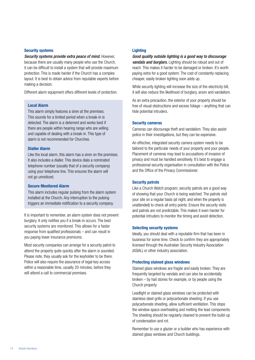#### **Security systems**

*Security systems provide extra peace of mind.* However, because there are usually many people who use the Church, it can be difficult to install a system that will provide maximum protection. This is made harder if the Church has a complex layout. It is best to obtain advice from reputable experts before making a decision.

Different alarm equipment offers different levels of protection.

#### **Local Alarm**

This alarm simply features a siren at the premises. This sounds for a limited period when a break-in is detected. The alarm is a deterrent and works best if there are people within hearing range who are willing and capable of dealing with a break-in. This type of alarm is not recommended for Churches.

#### **Dialler Alarm**

Like the local alarm, this alarm has a siren on the premises. It also includes a dialler. This device dials a nominated telephone number (usually that of a security company) using your telephone line. This ensures the alarm will not go unnoticed.

#### **Secure Monitored Alarm**

This alarm includes regular pulsing from the alarm system installed at the Church. Any interruption to the pulsing triggers an immediate notification to a security company.

It is important to remember, an alarm system does not prevent burglary. It only notifies you if a break-in occurs. The best security systems are monitored. This allows for a faster response from qualified professionals – and can result in you paying lower insurance premiums.

Most security companies can arrange for a security patrol to attend the property quite quickly after the alarm is sounded. Please note, they usually ask for the keyholder to be there. Police will also require the assurance of legal key access within a reasonable time, usually 20 minutes, before they will attend a call to commercial premises.

#### **Lighting**

*Good quality outside lighting is a good way to discourage vandals and burglars.* Lighting should be robust and out of reach. This makes it harder to be damaged or broken. It's worth paying extra for a good system. The cost of constantly replacing cheaper, easily broken lighting soon adds up.

While security lighting will increase the size of the electricity bill. it will also reduce the likelihood of burglary, arson and vandalism.

As an extra precaution, the exterior of your property should be free of visual obstructions and excess foliage – anything that can hide potential intruders.

#### **Security cameras**

Cameras can discourage theft and vandalism. They also assist police in their investigations, but they can be expensive.

An effective, integrated security camera system needs to be tailored to the particular needs of your property and your people. Placement of cameras may lead to accusations of invasion of privacy and must be handled sensitively. It's best to engage a professional security organisation in consultation with the Police and the Office of the Privacy Commissioner.

#### **Security patrols**

Like a Church Watch program, security patrols are a good way of showing that your Church is being watched. The patrols visit your site on a regular basis (at night, and when the property is unattended) to check all entry points. Ensure the security visits and patrols are not predictable. This makes it even harder for potential intruders to monitor the timing and avoid detection.

#### **Selecting security systems**

Ideally, you should deal with a reputable firm that has been in business for some time. Check to confirm they are appropriately licensed through the Australian Security Industry Association (ASIAL) or other industry association.

#### **Protecting stained glass windows**

Stained glass windows are fragile and easily broken. They are frequently targeted by vandals and can also be accidentally broken – by hail stones for example, or by people using the Church property.

Leadlight or stained glass windows can be protected with stainless steel grills or polycarbonate sheeting. If you use polycarbonate sheeting, allow sufficient ventilation. This stops the window space overheating and melting the lead components. The sheeting should be regularly cleaned to prevent the build-up of condensation and rot.

Remember to use a glazier or a builder who has experience with stained glass windows and Church buildings.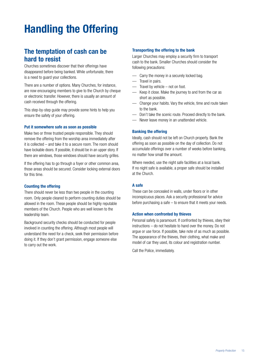## **Handling the Offering**

### **The temptation of cash can be hard to resist**

Churches sometimes discover that their offerings have disappeared before being banked. While unfortunate, there is a need to guard your collections.

There are a number of options. Many Churches, for instance, are now encouraging members to give to the Church by cheque or electronic transfer. However, there is usually an amount of cash received through the offering.

This step-by-step guide may provide some hints to help you ensure the safety of your offering.

#### **Put it somewhere safe as soon as possible**

Make two or three trusted people responsible. They should remove the offering from the worship area immediately after it is collected – and take it to a secure room. The room should have lockable doors. If possible, it should be in an upper story. If there are windows, those windows should have security grilles.

If the offering has to go through a foyer or other common area, those areas should be secured. Consider locking external doors for this time.

#### **Counting the offering**

There should never be less than two people in the counting room. Only people cleared to perform counting duties should be allowed in the room. These people should be highly reputable members of the Church. People who are well known to the leadership team.

Background security checks should be conducted for people involved in counting the offering. Although most people will understand the need for a check, seek their permission before doing it. If they don't grant permission, engage someone else to carry out the work.

#### **Transporting the offering to the bank**

Larger Churches may employ a security firm to transport cash to the bank. Smaller Churches should consider the following precautions:

- Carry the money in a securely locked bag.
- Travel in pairs.
- Travel by vehicle not on foot.
- Keep it close. Make the journey to and from the car as short as possible.
- Change your habits. Vary the vehicle, time and route taken to the bank.
- Don't take the scenic route. Proceed directly to the bank.
- Never leave money in an unattended vehicle.

#### **Banking the offering**

Ideally, cash should not be left on Church property. Bank the offering as soon as possible on the day of collection. Do not accumulate offerings over a number of weeks before banking, no matter how small the amount.

Where needed, use the night safe facilities at a local bank. If no night safe is available, a proper safe should be installed at the Church.

#### **A safe**

These can be concealed in walls, under floors or in other inconspicuous places. Ask a security professional for advice before purchasing a safe – to ensure that it meets your needs.

#### **Action when confronted by thieves**

Personal safety is paramount. If confronted by thieves, obey their instructions – do not hesitate to hand over the money. Do not argue or use force. If possible, take note of as much as possible. The appearance of the thieves, their clothing, what make and model of car they used, its colour and registration number.

Call the Police, immediately.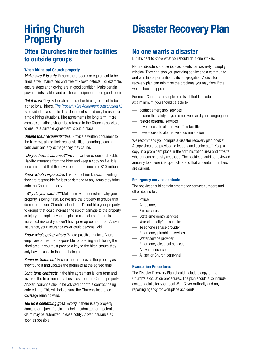# **Property**

### **Often Churches hire their facilities to outside groups**

#### **When hiring out Church property**

*Make sure it is safe.* Ensure the property or equipment to be hired is well maintained and free of known defects. For example, ensure steps and flooring are in good condition. Make certain power points, cables and electrical equipment are in good repair.

*Get it in writing.* Establish a contract or hire agreement to be signed by all hirers. *The Property Hire Agreement (Attachment H)* is provided as a sample. This document should only be used for simple hiring situations. Hire agreements for long term, more complex situations should be referred to the Church's solicitors to ensure a suitable agreement is put in place.

*Outline their responsibilities.* Provide a written document to the hirer explaining their responsibilities regarding cleaning, behaviour and any damage they may cause.

*"Do you have insurance?"* Ask for written evidence of Public Liability insurance from the hirer and keep a copy on file. It is recommended that the cover be for a minimum of \$10 million.

*Know who's responsible.* Ensure the hirer knows, in writing, they are responsible for loss or damage to any items they bring onto the Church property.

*"Why do you want it?"* Make sure you understand why your property is being hired. Do not hire the property to groups that do not meet your Church's standards. Do not hire your property to groups that could increase the risk of damage to the property or injury to people. If you do, please contact us. If there is an increased risk and you don't have prior agreement from Ansvar Insurance, your insurance cover could become void.

*Know who's going where.* Where possible, make a Church employee or member responsible for opening and closing the hired area. If you must provide a key to the hirer, ensure they only have access to the area being hired.

*Same in. Same out.* Ensure the hirer leaves the property as they found it and vacates the premises at the agreed time.

Long term contracts. If the hire agreement is long term and involves the hirer running a business from the Church property, Ansvar Insurance should be advised prior to a contract being entered into. This will help ensure the Church's insurance coverage remains valid.

*Tell us if something goes wrong.* If there is any property damage or injury; if a claim is being submitted or a potential claim may be submitted; please notify Ansvar Insurance as soon as possible.

## **Hiring Church Disaster Recovery Plan**

### **No one wants a disaster**

But it's best to know what you should do if one strikes.

Natural disasters and serious accidents can severely disrupt your mission. They can stop you providing services to a community and worship opportunities to its congregation. A disaster recovery plan can minimise the problems you may face if the worst should happen.

For most Churches a simple plan is all that is needed. At a minimum, you should be able to:

- contact emergency services
- ensure the safety of your employees and your congregation
- restore essential services
- have access to alternative office facilities
- have access to alternative accommodation

We recommend you compile a disaster recovery plan booklet. A copy should be provided to leaders and senior staff. Keep a copy in a prominent place in the administration area and off-site where it can be easily accessed. The booklet should be reviewed annually to ensure it is up-to-date and that all contact numbers are current.

#### **Emergency service contacts**

The booklet should contain emergency contact numbers and other details for:

- Police
- Ambulance
- Fire services
- State emergency services
- Your electricity/gas supplier
- Telephone service provider
- Emergency plumbing services
- Water service provider
- Emergency electrical services
- Ansvar Insurance
- All senior Church personnel

#### **Evacuation Procedures**

The Disaster Recovery Plan should include a copy of the Church's evacuation procedures. The plan should also include contact details for your local WorkCover Authority and any reporting agency for workplace accidents.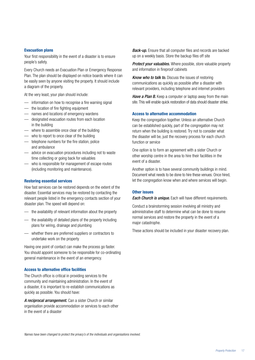#### **Evacuation plans**

Your first responsibility in the event of a disaster is to ensure people's safety.

Every Church needs an Evacuation Plan or Emergency Response Plan. The plan should be displayed on notice boards where it can be easily seen by anyone visiting the property. It should include a diagram of the property.

At the very least, your plan should include:

- information on how to recognise a fire warning signal
- the location of fire fighting equipment
- names and locations of emergency wardens
- designated evacuation routes from each location in the building
- where to assemble once clear of the building
- who to report to once clear of the building
- telephone numbers for the fire station, police and ambulance
- advice on evacuation procedures including not to waste time collecting or going back for valuables
- who is responsible for management of escape routes (including monitoring and maintenance).

#### **Restoring essential services**

How fast services can be restored depends on the extent of the disaster. Essential services may be restored by contacting the relevant people listed in the emergency contacts section of your disaster plan. The speed will depend on:

- the availability of relevant information about the property
- the availability of detailed plans of the property including plans for wiring, drainage and plumbing
- whether there are preferred suppliers or contractors to undertake work on the property

Having one point of contact can make the process go faster. You should appoint someone to be responsible for co-ordinating general maintenance in the event of an emergency.

#### **Access to alternative office facilities**

The Church office is critical in providing services to the community and maintaining administration. In the event of a disaster, it is important to re-establish communications as quickly as possible. You should have:

*A reciprocal arrangement.* Can a sister Church or similar organisation provide accommodation or services to each other in the event of a disaster

*Back-up.* Ensure that all computer files and records are backed up on a weekly basis. Store the backup files off site

*Protect your valuables.* Where possible, store valuable property and information in fireproof cabinets

*Know who to talk to.* Discuss the issues of restoring communications as quickly as possible after a disaster with relevant providers, including telephone and internet providers

*Have a Plan B.* Keep a computer or laptop away from the main site. This will enable quick restoration of data should disaster strike.

#### **Access to alternative accommodation**

Keep the congregation together. Unless an alternative Church can be established quickly, part of the congregation may not return when the building is restored. Try not to consider what the disaster will be, just the recovery process for each church function or service

One option is to form an agreement with a sister Church or other worship centre in the area to hire their facilities in the event of a disaster.

Another option is to have several community buildings in mind. Document what needs to be done to hire these venues. Once hired, let the congregation know when and where services will begin.

#### **Other issues**

*Each Church is unique.* Each will have different requirements.

Conduct a brainstorming session involving all ministry and administrative staff to determine what can be done to resume normal services and restore the property in the event of a major catastrophe.

These actions should be included in your disaster recovery plan.